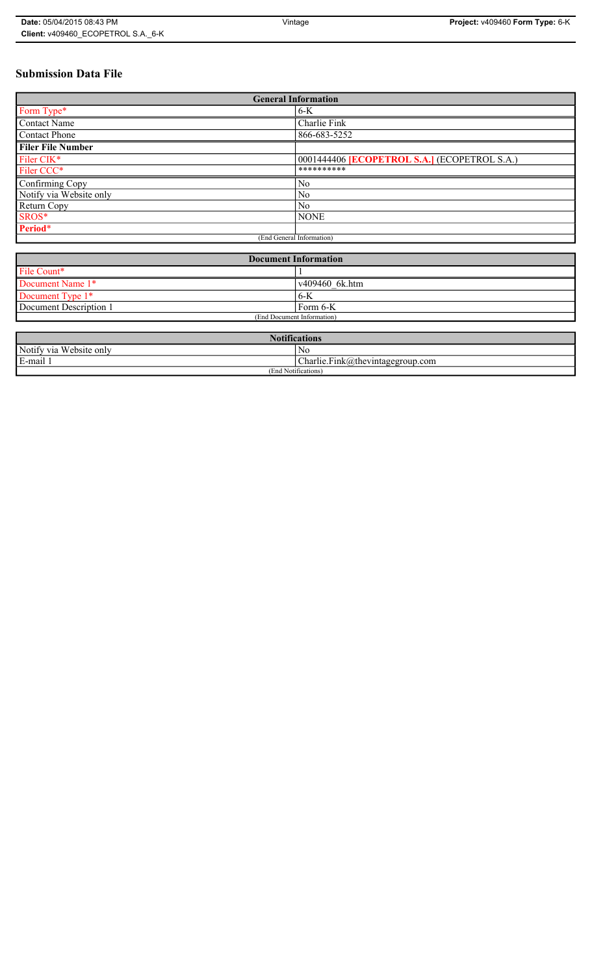# **Submission Data File**

| <b>General Information</b> |                                                   |
|----------------------------|---------------------------------------------------|
| Form Type*                 | $6-K$                                             |
| <b>Contact Name</b>        | Charlie Fink                                      |
| <b>Contact Phone</b>       | 866-683-5252                                      |
| <b>Filer File Number</b>   |                                                   |
| Filer CIK*                 | 0001444406 <b>ECOPETROL S.A.</b> (ECOPETROL S.A.) |
| Filer CCC*                 | **********                                        |
| Confirming Copy            | No                                                |
| Notify via Website only    | No                                                |
| Return Copy                | N <sub>0</sub>                                    |
| SROS*                      | <b>NONE</b>                                       |
| Period*                    |                                                   |
| (End General Information)  |                                                   |

| <b>Document Information</b> |                |
|-----------------------------|----------------|
| File Count*                 |                |
| Document Name 1*            | v409460 6k.htm |
| Document Type 1*            | 6-K            |
| Document Description 1      | Form 6-K       |
| (End Document Information)  |                |

| <b>Notifications</b>            |                                  |
|---------------------------------|----------------------------------|
| Notify via Website only         | No                               |
| E-mail                          | Charlie.Fink@thevintagegroup.com |
| $\cdots$<br>(End Notifications) |                                  |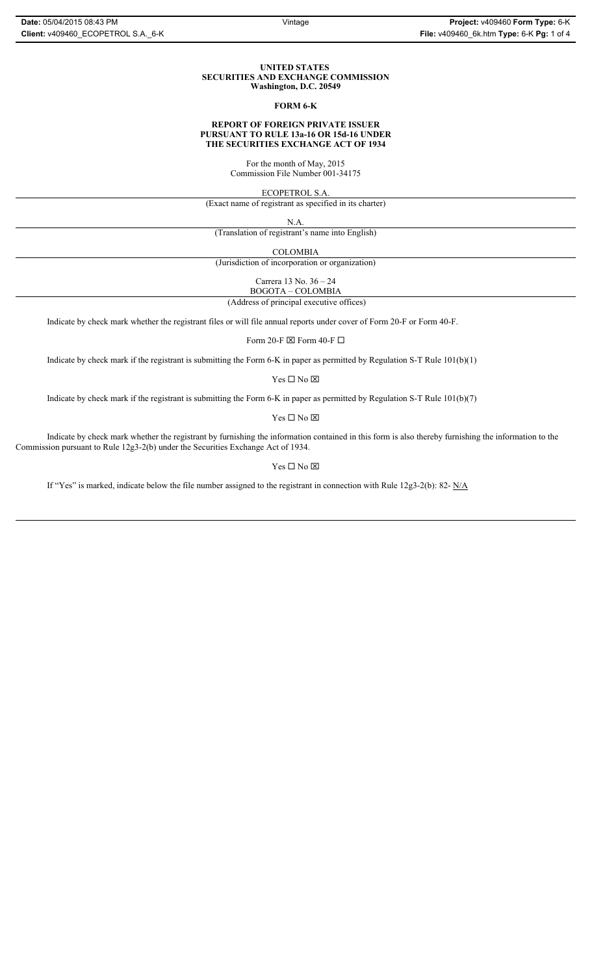#### **UNITED STATES SECURITIES AND EXCHANGE COMMISSION Washington, D.C. 20549**

#### **FORM 6-K**

### **REPORT OF FOREIGN PRIVATE ISSUER PURSUANT TO RULE 13a-16 OR 15d-16 UNDER THE SECURITIES EXCHANGE ACT OF 1934**

For the month of May, 2015 Commission File Number 001-34175

ECOPETROL S.A.

(Exact name of registrant as specified in its charter)

N.A.

(Translation of registrant's name into English)

COLOMBIA

(Jurisdiction of incorporation or organization)

Carrera 13 No. 36 – 24 BOGOTA – COLOMBIA

(Address of principal executive offices)

Indicate by check mark whether the registrant files or will file annual reports under cover of Form 20-F or Form 40-F.

Form 20-F  $\boxtimes$  Form 40-F  $\Box$ 

Indicate by check mark if the registrant is submitting the Form 6-K in paper as permitted by Regulation S-T Rule 101(b)(1)

 $Yes \Box No \boxtimes$ 

Indicate by check mark if the registrant is submitting the Form 6-K in paper as permitted by Regulation S-T Rule 101(b)(7)

 $\mathbf{Y}\mathbf{es} \ \Box \ \mathbf{No} \ \overline{\mathbf{\mathbf{\Xi}}}$ 

Indicate by check mark whether the registrant by furnishing the information contained in this form is also thereby furnishing the information to the Commission pursuant to Rule 12g3-2(b) under the Securities Exchange Act of 1934.

#### $Yes \Box No \boxtimes$

If "Yes" is marked, indicate below the file number assigned to the registrant in connection with Rule 12g3-2(b): 82- N/A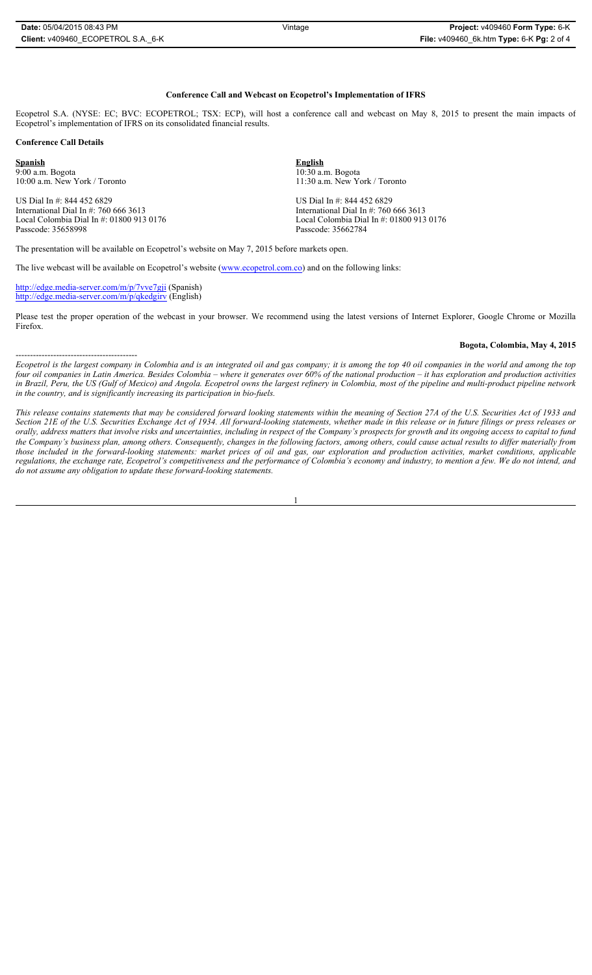#### **Conference Call and Webcast on Ecopetrol's Implementation of IFRS**

Ecopetrol S.A. (NYSE: EC; BVC: ECOPETROL; TSX: ECP), will host a conference call and webcast on May 8, 2015 to present the main impacts of Ecopetrol's implementation of IFRS on its consolidated financial results.

10:00 a.m. New York / Toronto 11:30 a.m. New York / Toronto

Local Colombia Dial In #: 01800 913 0176 Local Colombia Dial In #: 01800 913 0176

#### **Conference Call Details**

**Spanish English**   $\frac{9:00 \text{ a.m.} \text{ Bogota}}{10:30 \text{ a.m.} \text{ New York}}$  / Toronto  $\frac{11:30 \text{ a.m.} \text{ New York}}{11:30 \text{ a.m.} \text{ New York}}$ 

US Dial In #: 844 452 6829<br>
International Dial In #: 760 666 3613<br>
International Dial In #: 760 International Dial In #: 760 666 3613<br>
Local Colombia Dial In #: 01800 913 0176 101800 113 International Dial In #: 01800 913 Passcode: 35658998 Passcode: 35662784

------------------------------------------

The presentation will be available on Ecopetrol's website on May 7, 2015 before markets open.

The live webcast will be available on Ecopetrol's website (www.ecopetrol.com.co) and on the following links:

http://edge.media-server.com/m/p/7vve7gji (Spanish) http://edge.media-server.com/m/p/qkedgirv (English)

Please test the proper operation of the webcast in your browser. We recommend using the latest versions of Internet Explorer, Google Chrome or Mozilla Firefox.

#### **Bogota, Colombia, May 4, 2015**

*Ecopetrol is the largest company in Colombia and is an integrated oil and gas company; it is among the top 40 oil companies in the world and among the top four oil companies in Latin America. Besides Colombia – where it generates over 60% of the national production – it has exploration and production activities in Brazil, Peru, the US (Gulf of Mexico) and Angola. Ecopetrol owns the largest refinery in Colombia, most of the pipeline and multi-product pipeline network in the country, and is significantly increasing its participation in bio-fuels.* 

*This release contains statements that may be considered forward looking statements within the meaning of Section 27A of the U.S. Securities Act of 1933 and Section 21E of the U.S. Securities Exchange Act of 1934. All forward-looking statements, whether made in this release or in future filings or press releases or orally, address matters that involve risks and uncertainties, including in respect of the Company's prospects for growth and its ongoing access to capital to fund the Company's business plan, among others. Consequently, changes in the following factors, among others, could cause actual results to differ materially from those included in the forward-looking statements: market prices of oil and gas, our exploration and production activities, market conditions, applicable regulations, the exchange rate, Ecopetrol's competitiveness and the performance of Colombia's economy and industry, to mention a few. We do not intend, and do not assume any obligation to update these forward-looking statements.*

1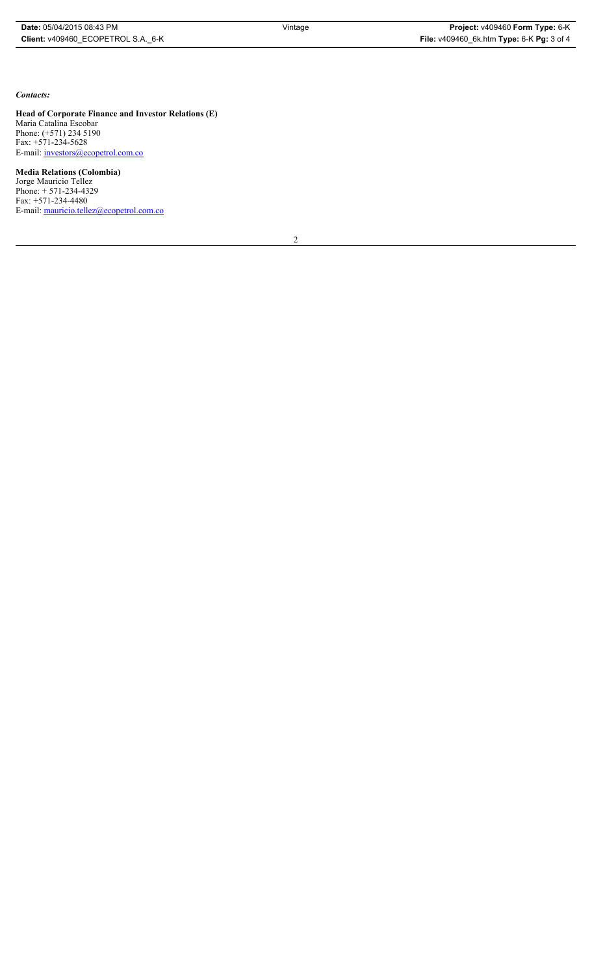*Contacts:*

**Head of Corporate Finance and Investor Relations (E)** Maria Catalina Escobar Phone: (+571) 234 5190 Fax: +571-234-5628 E-mail: investors@ecopetrol.com.co

**Media Relations (Colombia)**  Jorge Mauricio Tellez Phone: + 571-234-4329 Fax: +571-234-4480 E-mail: mauricio.tellez@ecopetrol.com.co

2